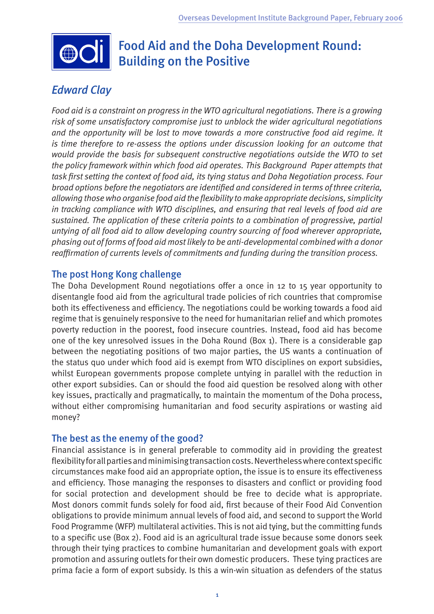

# Food Aid and the Doha Development Round: Building on the Positive

# *Edward Clay*

*Food aid is a constraint on progress in the WTO agricultural negotiations. There is a growing risk of some unsatisfactory compromise just to unblock the wider agricultural negotiations and the opportunity will be lost to move towards a more constructive food aid regime. It is time therefore to re-assess the options under discussion looking for an outcome that would provide the basis for subsequent constructive negotiations outside the WTO to set the policy framework within which food aid operates. This Background Paper attempts that task first setting the context of food aid, its tying status and Doha Negotiation process. Four broad options before the negotiators are identified and considered in terms of three criteria, allowing those who organise food aid the flexibility to make appropriate decisions, simplicity in tracking compliance with WTO disciplines, and ensuring that real levels of food aid are sustained. The application of these criteria points to a combination of progressive, partial untying of all food aid to allow developing country sourcing of food wherever appropriate, phasing out of forms of food aid most likely to be anti-developmental combined with a donor reaffirmation of currents levels of commitments and funding during the transition process.*

# The post Hong Kong challenge

The Doha Development Round negotiations offer a once in 12 to 15 year opportunity to disentangle food aid from the agricultural trade policies of rich countries that compromise both its effectiveness and efficiency. The negotiations could be working towards a food aid regime that is genuinely responsive to the need for humanitarian relief and which promotes poverty reduction in the poorest, food insecure countries. Instead, food aid has become one of the key unresolved issues in the Doha Round (Box 1). There is a considerable gap between the negotiating positions of two major parties, the US wants a continuation of the status quo under which food aid is exempt from WTO disciplines on export subsidies, whilst European governments propose complete untying in parallel with the reduction in other export subsidies. Can or should the food aid question be resolved along with other key issues, practically and pragmatically, to maintain the momentum of the Doha process, without either compromising humanitarian and food security aspirations or wasting aid money?

# The best as the enemy of the good?

Financial assistance is in general preferable to commodity aid in providing the greatest flexibility for all parties and minimising transaction costs. Nevertheless where context specific circumstances make food aid an appropriate option, the issue is to ensure its effectiveness and efficiency. Those managing the responses to disasters and conflict or providing food for social protection and development should be free to decide what is appropriate. Most donors commit funds solely for food aid, first because of their Food Aid Convention obligations to provide minimum annual levels of food aid, and second to support the World Food Programme (WFP) multilateral activities. This is not aid tying, but the committing funds to a specific use (Box 2). Food aid is an agricultural trade issue because some donors seek through their tying practices to combine humanitarian and development goals with export promotion and assuring outlets for their own domestic producers. These tying practices are prima facie a form of export subsidy. Is this a win-win situation as defenders of the status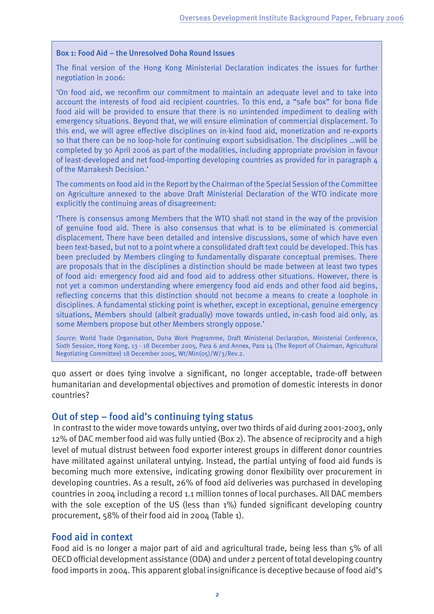#### Box 1: Food Aid – the Unresolved Doha Round Issues

The final version of the Hong Kong Ministerial Declaration indicates the issues for further negotiation in 2006:

'On food aid, we reconfirm our commitment to maintain an adequate level and to take into account the interests of food aid recipient countries. To this end, a "safe box" for bona fide food aid will be provided to ensure that there is no unintended impediment to dealing with emergency situations. Beyond that, we will ensure elimination of commercial displacement. To this end, we will agree effective disciplines on in-kind food aid, monetization and re-exports so that there can be no loop-hole for continuing export subsidisation. The disciplines …will be completed by 30 April 2006 as part of the modalities, including appropriate provision in favour of least-developed and net food-importing developing countries as provided for in paragraph 4 of the Marrakesh Decision.'

The comments on food aid in the Report by the Chairman of the Special Session of the Committee on Agriculture annexed to the above Draft Ministerial Declaration of the WTO indicate more explicitly the continuing areas of disagreement:

'There is consensus among Members that the WTO shall not stand in the way of the provision of genuine food aid. There is also consensus that what is to be eliminated is commercial displacement. There have been detailed and intensive discussions, some of which have even been text-based, but not to a point where a consolidated draft text could be developed. This has been precluded by Members clinging to fundamentally disparate conceptual premises. There are proposals that in the disciplines a distinction should be made between at least two types of food aid: emergency food aid and food aid to address other situations. However, there is not yet a common understanding where emergency food aid ends and other food aid begins, reflecting concerns that this distinction should not become a means to create a loophole in disciplines. A fundamental sticking point is whether, except in exceptional, genuine emergency situations, Members should (albeit gradually) move towards untied, in-cash food aid only, as some Members propose but other Members strongly oppose.'

*Source:* World Trade Organisation, Doha Work Programme, Draft Ministerial Declaration, Ministerial Conference, Sixth Session, Hong Kong, 13 - 18 December 2005, Para 6 and Annex, Para 14 (The Report of Chairman, Agricultural Negotiating Committee) 18 December 2005, Wt/Min(05)/W/3/Rev.2.

quo assert or does tying involve a significant, no longer acceptable, trade-off between humanitarian and developmental objectives and promotion of domestic interests in donor countries?

#### Out of step – food aid's continuing tying status

 In contrast to the wider move towards untying, over two thirds of aid during 2001-2003, only 12% of DAC member food aid was fully untied (Box 2). The absence of reciprocity and a high level of mutual distrust between food exporter interest groups in different donor countries have militated against unilateral untying. Instead, the partial untying of food aid funds is becoming much more extensive, indicating growing donor flexibility over procurement in developing countries. As a result, 26% of food aid deliveries was purchased in developing countries in 2004 including a record 1.1 million tonnes of local purchases. All DAC members with the sole exception of the US (less than 1%) funded significant developing country procurement, 58% of their food aid in 2004 (Table 1).

### Food aid in context

Food aid is no longer a major part of aid and agricultural trade, being less than 5% of all OECD official development assistance (ODA) and under 2 percent of total developing country food imports in 2004. This apparent global insignificance is deceptive because of food aid's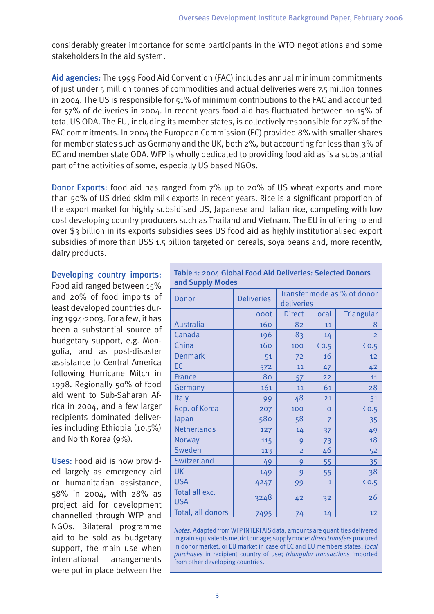considerably greater importance for some participants in the WTO negotiations and some stakeholders in the aid system.

Aid agencies: The 1999 Food Aid Convention (FAC) includes annual minimum commitments of just under 5 million tonnes of commodities and actual deliveries were 7.5 million tonnes in 2004. The US is responsible for 51% of minimum contributions to the FAC and accounted for 57% of deliveries in 2004. In recent years food aid has fluctuated between 10-15% of total US ODA. The EU, including its member states, is collectively responsible for 27% of the FAC commitments. In 2004 the European Commission (EC) provided 8% with smaller shares for member states such as Germany and the UK, both 2%, but accounting for less than 3% of EC and member state ODA. WFP is wholly dedicated to providing food aid as is a substantial part of the activities of some, especially US based NGOs.

Donor Exports: food aid has ranged from 7% up to 20% of US wheat exports and more than 50% of US dried skim milk exports in recent years. Rice is a significant proportion of the export market for highly subsidised US, Japanese and Italian rice, competing with low cost developing country producers such as Thailand and Vietnam. The EU in offering to end over \$3 billion in its exports subsidies sees US food aid as highly institutionalised export subsidies of more than US\$ 1.5 billion targeted on cereals, soya beans and, more recently, dairy products.

#### Developing country imports:

Food aid ranged between 15% and 20% of food imports of least developed countries during 1994-2003. For a few, it has been a substantial source of budgetary support, e.g. Mongolia, and as post-disaster assistance to Central America following Hurricane Mitch in 1998. Regionally 50% of food aid went to Sub-Saharan Africa in 2004, and a few larger recipients dominated deliveries including Ethiopia (10.5%) and North Korea (9%).

Uses: Food aid is now provided largely as emergency aid or humanitarian assistance, 58% in 2004, with 28% as project aid for development channelled through WFP and NGOs. Bilateral programme aid to be sold as budgetary support, the main use when international arrangements were put in place between the

| Table 1: 2004 Global Food Aid Deliveries: Selected Donors |  |  |
|-----------------------------------------------------------|--|--|
| and Supply Modes                                          |  |  |

| ally bupply modes            |                   |                                           |                |                   |  |  |
|------------------------------|-------------------|-------------------------------------------|----------------|-------------------|--|--|
| Donor                        | <b>Deliveries</b> | Transfer mode as % of donor<br>deliveries |                |                   |  |  |
|                              | ooot              | <b>Direct</b>                             | Local          | <b>Triangular</b> |  |  |
| Australia                    | 160               | 82                                        | 11             | 8                 |  |  |
| Canada                       | 196               | 83                                        | 14             | $\overline{2}$    |  |  |
| China                        | 160               | 100                                       | $\langle 0.5$  | $\langle 0.5$     |  |  |
| <b>Denmark</b>               | 51                | 72                                        | 16             | 12                |  |  |
| EC                           | 572               | 11                                        | 47             | 42                |  |  |
| <b>France</b>                | 80                | 57                                        | 22             | 11                |  |  |
| Germany                      | 161               | 11                                        | 61             | 28                |  |  |
| <b>Italy</b>                 | 99                | 48                                        | 21             | 31                |  |  |
| Rep. of Korea                | 207               | 100                                       | $\mathbf O$    | $\langle 0.5$     |  |  |
| Japan                        | 580               | 58                                        | 7              | 35                |  |  |
| <b>Netherlands</b>           | 127               | 14                                        | 37             | 49                |  |  |
| <b>Norway</b>                | 115               | 9                                         | 73             | 18                |  |  |
| Sweden                       | 113               | $\overline{2}$                            | 46             | 52                |  |  |
| Switzerland                  | 49                | 9                                         | 55             | 35                |  |  |
| <b>UK</b>                    | 149               | 9                                         | 55             | 38                |  |  |
| <b>USA</b>                   | 4247              | <u>99</u>                                 | $\mathbf{1}$   | $\overline{0.5}$  |  |  |
| Total all exc.<br><b>USA</b> | 3248              | 42                                        | 3 <sup>2</sup> | 26                |  |  |
| Total, all donors            | 7495              | 74                                        | 14             | 12                |  |  |

*Notes:* Adapted from WFP INTERFAIS data; amounts are quantities delivered in grain equivalents metric tonnage; supply mode: *direct transfers* procured in donor market, or EU market in case of EC and EU members states; *local purchases* in recipient country of use; *triangular transactions* imported from other developing countries.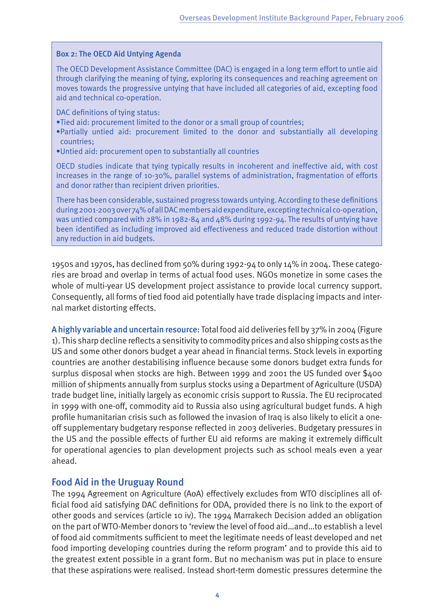#### Box 2: The OECD Aid Untying Agenda

The OECD Development Assistance Committee (DAC) is engaged in a long term effort to untie aid through clarifying the meaning of tying, exploring its consequences and reaching agreement on moves towards the progressive untying that have included all categories of aid, excepting food aid and technical co-operation.

DAC definitions of tying status:

- Tied aid: procurement limited to the donor or a small group of countries;
- Partially untied aid: procurement limited to the donor and substantially all developing countries;
- Untied aid: procurement open to substantially all countries

OECD studies indicate that tying typically results in incoherent and ineffective aid, with cost increases in the range of 10-30%, parallel systems of administration, fragmentation of efforts and donor rather than recipient driven priorities.

There has been considerable, sustained progress towards untying. According to these definitions during 2001-2003 over 74% of all DAC members aid expenditure, excepting technical co-operation, was untied compared with 28% in 1982-84 and 48% during 1992-94. The results of untying have been identified as including improved aid effectiveness and reduced trade distortion without any reduction in aid budgets.

1950s and 1970s, has declined from 50% during 1992-94 to only 14% in 2004. These categories are broad and overlap in terms of actual food uses. NGOs monetize in some cases the whole of multi-year US development project assistance to provide local currency support. Consequently, all forms of tied food aid potentially have trade displacing impacts and internal market distorting effects.

A highly variable and uncertain resource: Total food aid deliveries fell by 37% in 2004 (Figure 1). This sharp decline reflects a sensitivity to commodity prices and also shipping costs as the US and some other donors budget a year ahead in financial terms. Stock levels in exporting countries are another destabilising influence because some donors budget extra funds for surplus disposal when stocks are high. Between 1999 and 2001 the US funded over \$400 million of shipments annually from surplus stocks using a Department of Agriculture (USDA) trade budget line, initially largely as economic crisis support to Russia. The EU reciprocated in 1999 with one-off, commodity aid to Russia also using agricultural budget funds. A high profile humanitarian crisis such as followed the invasion of Iraq is also likely to elicit a oneoff supplementary budgetary response reflected in 2003 deliveries. Budgetary pressures in the US and the possible effects of further EU aid reforms are making it extremely difficult for operational agencies to plan development projects such as school meals even a year ahead.

## Food Aid in the Uruguay Round

The 1994 Agreement on Agriculture (AoA) effectively excludes from WTO disciplines all official food aid satisfying DAC definitions for ODA, provided there is no link to the export of other goods and services (article 10 iv). The 1994 Marrakech Decision added an obligation on the part of WTO-Member donors to 'review the level of food aid…and…to establish a level of food aid commitments sufficient to meet the legitimate needs of least developed and net food importing developing countries during the reform program' and to provide this aid to the greatest extent possible in a grant form. But no mechanism was put in place to ensure that these aspirations were realised. Instead short-term domestic pressures determine the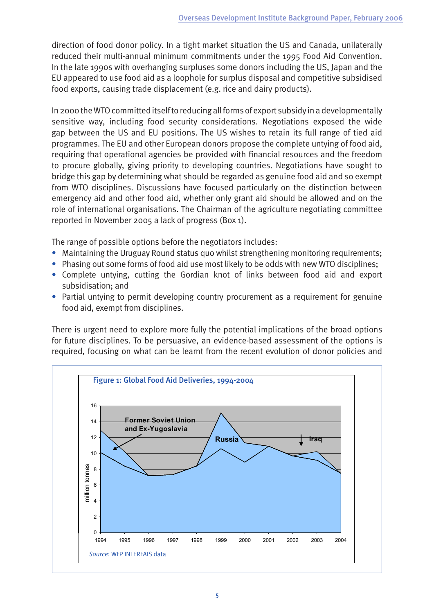direction of food donor policy. In a tight market situation the US and Canada, unilaterally reduced their multi-annual minimum commitments under the 1995 Food Aid Convention. In the late 1990s with overhanging surpluses some donors including the US, Japan and the EU appeared to use food aid as a loophole for surplus disposal and competitive subsidised food exports, causing trade displacement (e.g. rice and dairy products).

In 2000 the WTO committed itself to reducing all forms of export subsidy in a developmentally sensitive way, including food security considerations. Negotiations exposed the wide gap between the US and EU positions. The US wishes to retain its full range of tied aid programmes. The EU and other European donors propose the complete untying of food aid, requiring that operational agencies be provided with financial resources and the freedom to procure globally, giving priority to developing countries. Negotiations have sought to bridge this gap by determining what should be regarded as genuine food aid and so exempt from WTO disciplines. Discussions have focused particularly on the distinction between emergency aid and other food aid, whether only grant aid should be allowed and on the role of international organisations. The Chairman of the agriculture negotiating committee reported in November 2005 a lack of progress (Box 1).

The range of possible options before the negotiators includes:

- Maintaining the Uruguay Round status quo whilst strengthening monitoring requirements;
- Phasing out some forms of food aid use most likely to be odds with new WTO disciplines;
- Complete untying, cutting the Gordian knot of links between food aid and export subsidisation; and
- Partial untying to permit developing country procurement as a requirement for genuine food aid, exempt from disciplines.

There is urgent need to explore more fully the potential implications of the broad options for future disciplines. To be persuasive, an evidence-based assessment of the options is required, focusing on what can be learnt from the recent evolution of donor policies and

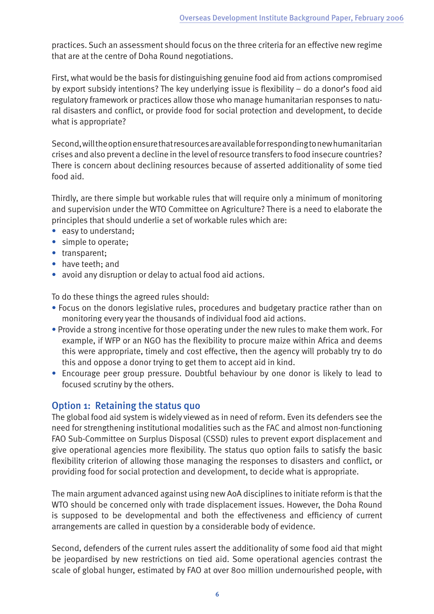practices. Such an assessment should focus on the three criteria for an effective new regime that are at the centre of Doha Round negotiations.

First, what would be the basis for distinguishing genuine food aid from actions compromised by export subsidy intentions? The key underlying issue is flexibility – do a donor's food aid regulatory framework or practices allow those who manage humanitarian responses to natural disasters and conflict, or provide food for social protection and development, to decide what is appropriate?

Second, will the option ensure that resources are available for responding to new humanitarian crises and also prevent a decline in the level of resource transfers to food insecure countries? There is concern about declining resources because of asserted additionality of some tied food aid.

Thirdly, are there simple but workable rules that will require only a minimum of monitoring and supervision under the WTO Committee on Agriculture? There is a need to elaborate the principles that should underlie a set of workable rules which are:

- easy to understand:
- simple to operate;
- transparent:
- have teeth; and
- avoid any disruption or delay to actual food aid actions.

To do these things the agreed rules should:

- Focus on the donors legislative rules, procedures and budgetary practice rather than on monitoring every year the thousands of individual food aid actions.
- Provide a strong incentive for those operating under the new rules to make them work. For example, if WFP or an NGO has the flexibility to procure maize within Africa and deems this were appropriate, timely and cost effective, then the agency will probably try to do this and oppose a donor trying to get them to accept aid in kind.
- Encourage peer group pressure. Doubtful behaviour by one donor is likely to lead to focused scrutiny by the others.

# Option 1: Retaining the status quo

The global food aid system is widely viewed as in need of reform. Even its defenders see the need for strengthening institutional modalities such as the FAC and almost non-functioning FAO Sub-Committee on Surplus Disposal (CSSD) rules to prevent export displacement and give operational agencies more flexibility. The status quo option fails to satisfy the basic flexibility criterion of allowing those managing the responses to disasters and conflict, or providing food for social protection and development, to decide what is appropriate.

The main argument advanced against using new AoA disciplines to initiate reform is that the WTO should be concerned only with trade displacement issues. However, the Doha Round is supposed to be developmental and both the effectiveness and efficiency of current arrangements are called in question by a considerable body of evidence.

Second, defenders of the current rules assert the additionality of some food aid that might be jeopardised by new restrictions on tied aid. Some operational agencies contrast the scale of global hunger, estimated by FAO at over 800 million undernourished people, with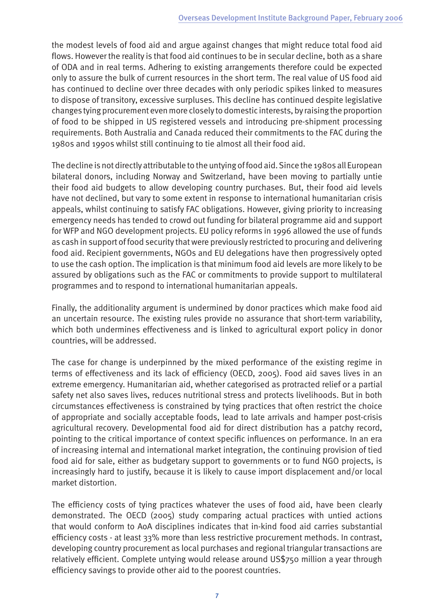the modest levels of food aid and argue against changes that might reduce total food aid flows. However the reality is that food aid continues to be in secular decline, both as a share of ODA and in real terms. Adhering to existing arrangements therefore could be expected only to assure the bulk of current resources in the short term. The real value of US food aid has continued to decline over three decades with only periodic spikes linked to measures to dispose of transitory, excessive surpluses. This decline has continued despite legislative changes tying procurement even more closely to domestic interests, by raising the proportion of food to be shipped in US registered vessels and introducing pre-shipment processing requirements. Both Australia and Canada reduced their commitments to the FAC during the 1980s and 1990s whilst still continuing to tie almost all their food aid.

The decline is not directly attributable to the untying of food aid. Since the 1980s all European bilateral donors, including Norway and Switzerland, have been moving to partially untie their food aid budgets to allow developing country purchases. But, their food aid levels have not declined, but vary to some extent in response to international humanitarian crisis appeals, whilst continuing to satisfy FAC obligations. However, giving priority to increasing emergency needs has tended to crowd out funding for bilateral programme aid and support for WFP and NGO development projects. EU policy reforms in 1996 allowed the use of funds as cash in support of food security that were previously restricted to procuring and delivering food aid. Recipient governments, NGOs and EU delegations have then progressively opted to use the cash option. The implication is that minimum food aid levels are more likely to be assured by obligations such as the FAC or commitments to provide support to multilateral programmes and to respond to international humanitarian appeals.

Finally, the additionality argument is undermined by donor practices which make food aid an uncertain resource. The existing rules provide no assurance that short-term variability, which both undermines effectiveness and is linked to agricultural export policy in donor countries, will be addressed.

The case for change is underpinned by the mixed performance of the existing regime in terms of effectiveness and its lack of efficiency (OECD, 2005). Food aid saves lives in an extreme emergency. Humanitarian aid, whether categorised as protracted relief or a partial safety net also saves lives, reduces nutritional stress and protects livelihoods. But in both circumstances effectiveness is constrained by tying practices that often restrict the choice of appropriate and socially acceptable foods, lead to late arrivals and hamper post-crisis agricultural recovery. Developmental food aid for direct distribution has a patchy record, pointing to the critical importance of context specific influences on performance. In an era of increasing internal and international market integration, the continuing provision of tied food aid for sale, either as budgetary support to governments or to fund NGO projects, is increasingly hard to justify, because it is likely to cause import displacement and/or local market distortion.

The efficiency costs of tying practices whatever the uses of food aid, have been clearly demonstrated. The OECD (2005) study comparing actual practices with untied actions that would conform to AoA disciplines indicates that in-kind food aid carries substantial efficiency costs - at least 33% more than less restrictive procurement methods. In contrast, developing country procurement as local purchases and regional triangular transactions are relatively efficient. Complete untying would release around US\$750 million a year through efficiency savings to provide other aid to the poorest countries.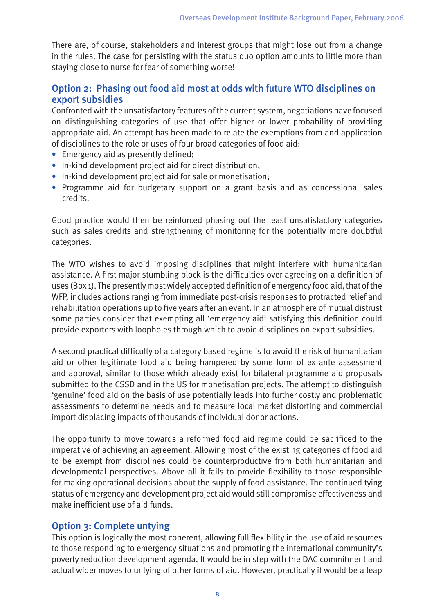There are, of course, stakeholders and interest groups that might lose out from a change in the rules. The case for persisting with the status quo option amounts to little more than staying close to nurse for fear of something worse!

## Option 2: Phasing out food aid most at odds with future WTO disciplines on export subsidies

Confronted with the unsatisfactory features of the current system, negotiations have focused on distinguishing categories of use that offer higher or lower probability of providing appropriate aid. An attempt has been made to relate the exemptions from and application of disciplines to the role or uses of four broad categories of food aid:

- Emergency aid as presently defined;
- In-kind development project aid for direct distribution;
- In-kind development project aid for sale or monetisation;
- Programme aid for budgetary support on a grant basis and as concessional sales credits.

Good practice would then be reinforced phasing out the least unsatisfactory categories such as sales credits and strengthening of monitoring for the potentially more doubtful categories.

The WTO wishes to avoid imposing disciplines that might interfere with humanitarian assistance. A first major stumbling block is the difficulties over agreeing on a definition of uses (Box 1). The presently most widely accepted definition of emergency food aid, that of the WFP, includes actions ranging from immediate post-crisis responses to protracted relief and rehabilitation operations up to five years after an event. In an atmosphere of mutual distrust some parties consider that exempting all 'emergency aid' satisfying this definition could provide exporters with loopholes through which to avoid disciplines on export subsidies.

A second practical difficulty of a category based regime is to avoid the risk of humanitarian aid or other legitimate food aid being hampered by some form of ex ante assessment and approval, similar to those which already exist for bilateral programme aid proposals submitted to the CSSD and in the US for monetisation projects. The attempt to distinguish 'genuine' food aid on the basis of use potentially leads into further costly and problematic assessments to determine needs and to measure local market distorting and commercial import displacing impacts of thousands of individual donor actions.

The opportunity to move towards a reformed food aid regime could be sacrificed to the imperative of achieving an agreement. Allowing most of the existing categories of food aid to be exempt from disciplines could be counterproductive from both humanitarian and developmental perspectives. Above all it fails to provide flexibility to those responsible for making operational decisions about the supply of food assistance. The continued tying status of emergency and development project aid would still compromise effectiveness and make inefficient use of aid funds.

## Option 3: Complete untying

This option is logically the most coherent, allowing full flexibility in the use of aid resources to those responding to emergency situations and promoting the international community's poverty reduction development agenda. It would be in step with the DAC commitment and actual wider moves to untying of other forms of aid. However, practically it would be a leap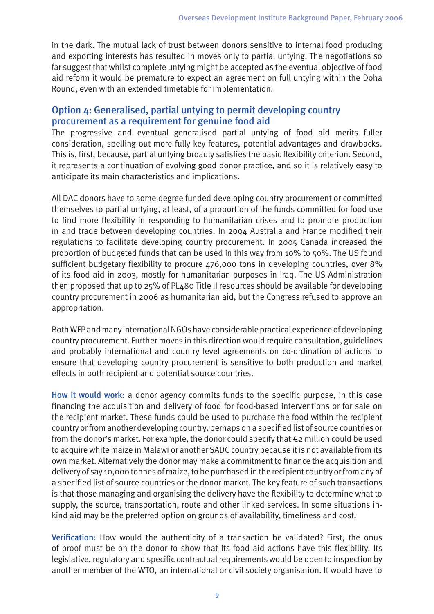in the dark. The mutual lack of trust between donors sensitive to internal food producing and exporting interests has resulted in moves only to partial untying. The negotiations so far suggest that whilst complete untying might be accepted as the eventual objective of food aid reform it would be premature to expect an agreement on full untying within the Doha Round, even with an extended timetable for implementation.

## Option 4: Generalised, partial untying to permit developing country procurement as a requirement for genuine food aid

The progressive and eventual generalised partial untying of food aid merits fuller consideration, spelling out more fully key features, potential advantages and drawbacks. This is, first, because, partial untying broadly satisfies the basic flexibility criterion. Second, it represents a continuation of evolving good donor practice, and so it is relatively easy to anticipate its main characteristics and implications.

All DAC donors have to some degree funded developing country procurement or committed themselves to partial untying, at least, of a proportion of the funds committed for food use to find more flexibility in responding to humanitarian crises and to promote production in and trade between developing countries. In 2004 Australia and France modified their regulations to facilitate developing country procurement. In 2005 Canada increased the proportion of budgeted funds that can be used in this way from 10% to 50%. The US found sufficient budgetary flexibility to procure 476,000 tons in developing countries, over 8% of its food aid in 2003, mostly for humanitarian purposes in Iraq. The US Administration then proposed that up to 25% of PL480 Title II resources should be available for developing country procurement in 2006 as humanitarian aid, but the Congress refused to approve an appropriation.

Both WFP and many international NGOs have considerable practical experience of developing country procurement. Further moves in this direction would require consultation, guidelines and probably international and country level agreements on co-ordination of actions to ensure that developing country procurement is sensitive to both production and market effects in both recipient and potential source countries.

How it would work: a donor agency commits funds to the specific purpose, in this case financing the acquisition and delivery of food for food-based interventions or for sale on the recipient market. These funds could be used to purchase the food within the recipient country or from another developing country, perhaps on a specified list of source countries or from the donor's market. For example, the donor could specify that €2 million could be used to acquire white maize in Malawi or another SADC country because it is not available from its own market. Alternatively the donor may make a commitment to finance the acquisition and delivery of say 10,000 tonnes of maize, to be purchased in the recipient country or from any of a specified list of source countries or the donor market. The key feature of such transactions is that those managing and organising the delivery have the flexibility to determine what to supply, the source, transportation, route and other linked services. In some situations inkind aid may be the preferred option on grounds of availability, timeliness and cost.

Verification: How would the authenticity of a transaction be validated? First, the onus of proof must be on the donor to show that its food aid actions have this flexibility. Its legislative, regulatory and specific contractual requirements would be open to inspection by another member of the WTO, an international or civil society organisation. It would have to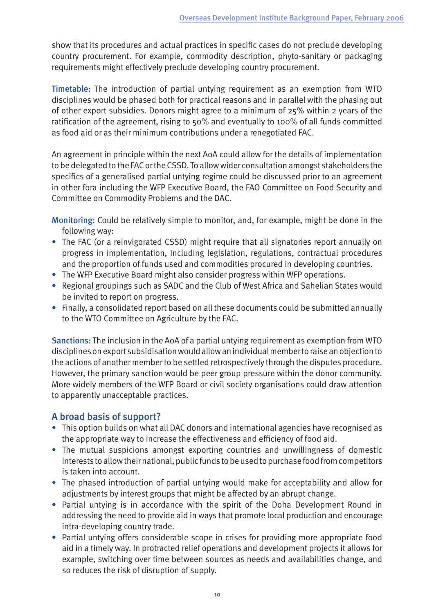show that its procedures and actual practices in specific cases do not preclude developing country procurement. For example, commodity description, phyto-sanitary or packaging requirements might effectively preclude developing country procurement.

Timetable: The introduction of partial untying requirement as an exemption from WTO disciplines would be phased both for practical reasons and in parallel with the phasing out of other export subsidies. Donors might agree to a minimum of 25% within 2 years of the ratification of the agreement, rising to 50% and eventually to 100% of all funds committed as food aid or as their minimum contributions under a renegotiated FAC.

An agreement in principle within the next AoA could allow for the details of implementation to be delegated to the FAC or the CSSD. To allow wider consultation amongst stakeholders the specifics of a generalised partial untying regime could be discussed prior to an agreement in other fora including the WFP Executive Board, the FAO Committee on Food Security and Committee on Commodity Problems and the DAC.

Monitoring: Could be relatively simple to monitor, and, for example, might be done in the following way:

- The FAC (or a reinvigorated CSSD) might require that all signatories report annually on progress in implementation, including legislation, regulations, contractual procedures and the proportion of funds used and commodities procured in developing countries.
- The WFP Executive Board might also consider progress within WFP operations.
- Regional groupings such as SADC and the Club of West Africa and Sahelian States would be invited to report on progress.
- Finally, a consolidated report based on all these documents could be submitted annually to the WTO Committee on Agriculture by the FAC.

Sanctions: The inclusion in the AoA of a partial untying requirement as exemption from WTO disciplines on export subsidisation would allow an individual member to raise an objection to the actions of another member to be settled retrospectively through the disputes procedure. However, the primary sanction would be peer group pressure within the donor community. More widely members of the WFP Board or civil society organisations could draw attention to apparently unacceptable practices.

# A broad basis of support?

- This option builds on what all DAC donors and international agencies have recognised as the appropriate way to increase the effectiveness and efficiency of food aid.
- The mutual suspicions amongst exporting countries and unwillingness of domestic interests to allow their national, public funds to be used to purchase food from competitors is taken into account.
- The phased introduction of partial untying would make for acceptability and allow for adjustments by interest groups that might be affected by an abrupt change.
- Partial untying is in accordance with the spirit of the Doha Development Round in addressing the need to provide aid in ways that promote local production and encourage intra-developing country trade.
- Partial untying offers considerable scope in crises for providing more appropriate food aid in a timely way. In protracted relief operations and development projects it allows for example, switching over time between sources as needs and availabilities change, and so reduces the risk of disruption of supply.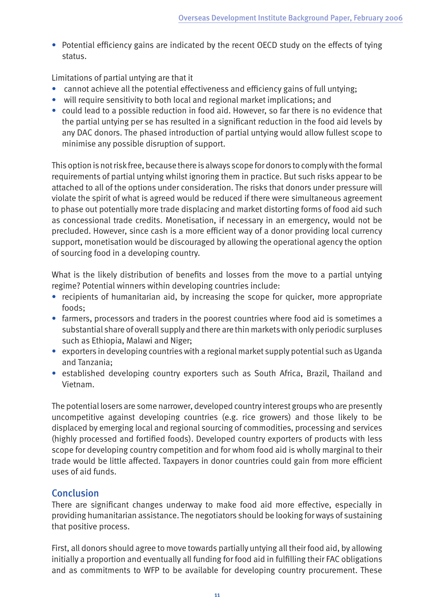• Potential efficiency gains are indicated by the recent OECD study on the effects of tying status.

Limitations of partial untying are that it

- cannot achieve all the potential effectiveness and efficiency gains of full untying;
- will require sensitivity to both local and regional market implications; and
- could lead to a possible reduction in food aid. However, so far there is no evidence that the partial untying per se has resulted in a significant reduction in the food aid levels by any DAC donors. The phased introduction of partial untying would allow fullest scope to minimise any possible disruption of support.

This option is not risk free, because there is always scope for donors to comply with the formal requirements of partial untying whilst ignoring them in practice. But such risks appear to be attached to all of the options under consideration. The risks that donors under pressure will violate the spirit of what is agreed would be reduced if there were simultaneous agreement to phase out potentially more trade displacing and market distorting forms of food aid such as concessional trade credits. Monetisation, if necessary in an emergency, would not be precluded. However, since cash is a more efficient way of a donor providing local currency support, monetisation would be discouraged by allowing the operational agency the option of sourcing food in a developing country.

What is the likely distribution of benefits and losses from the move to a partial untying regime? Potential winners within developing countries include:

- recipients of humanitarian aid, by increasing the scope for quicker, more appropriate foods;
- farmers, processors and traders in the poorest countries where food aid is sometimes a substantial share of overall supply and there are thin markets with only periodic surpluses such as Ethiopia, Malawi and Niger;
- exporters in developing countries with a regional market supply potential such as Uganda and Tanzania;
- established developing country exporters such as South Africa, Brazil, Thailand and Vietnam.

The potential losers are some narrower, developed country interest groups who are presently uncompetitive against developing countries (e.g. rice growers) and those likely to be displaced by emerging local and regional sourcing of commodities, processing and services (highly processed and fortified foods). Developed country exporters of products with less scope for developing country competition and for whom food aid is wholly marginal to their trade would be little affected. Taxpayers in donor countries could gain from more efficient uses of aid funds.

# Conclusion

There are significant changes underway to make food aid more effective, especially in providing humanitarian assistance. The negotiators should be looking for ways of sustaining that positive process.

First, all donors should agree to move towards partially untying all their food aid, by allowing initially a proportion and eventually all funding for food aid in fulfilling their FAC obligations and as commitments to WFP to be available for developing country procurement. These